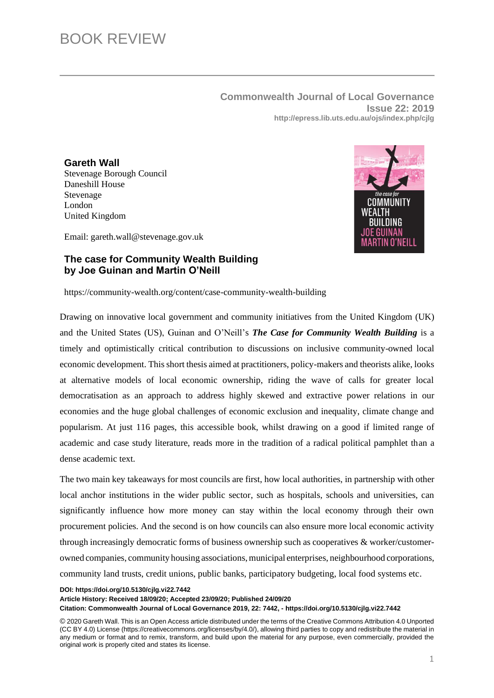**Commonwealth Journal of Local Governance Issue 22: 2019 http://epress.lib.uts.edu.au/ojs/index.php/cjlg**

## **Gareth Wall**

Stevenage Borough Council Daneshill House Stevenage London United Kingdom



Email: gareth.wall@stevenage.gov.uk

## **The case for Community Wealth Building by Joe Guinan and Martin O'Neill**

<https://community-wealth.org/content/case-community-wealth-building>

Drawing on innovative local government and community initiatives from the United Kingdom (UK) and the United States (US), Guinan and O'Neill's *The Case for Community Wealth Building* is a timely and optimistically critical contribution to discussions on inclusive community-owned local economic development. This short thesis aimed at practitioners, policy-makers and theorists alike, looks at alternative models of local economic ownership, riding the wave of calls for greater local democratisation as an approach to address highly skewed and extractive power relations in our economies and the huge global challenges of economic exclusion and inequality, climate change and popularism. At just 116 pages, this accessible book, whilst drawing on a good if limited range of academic and case study literature, reads more in the tradition of a radical political pamphlet than a dense academic text.

The two main key takeaways for most councils are first, how local authorities, in partnership with other local anchor institutions in the wider public sector, such as hospitals, schools and universities, can significantly influence how more money can stay within the local economy through their own procurement policies. And the second is on how councils can also ensure more local economic activity through increasingly democratic forms of business ownership such as cooperatives & worker/customerowned companies, community housing associations, municipal enterprises, neighbourhood corporations, community land trusts, credit unions, public banks, participatory budgeting, local food systems etc.

**DOI: https://doi.org/10.5130/cjlg.vi22.7442**

**Article History: Received 18/09/20; Accepted 23/09/20; Published 24/09/20 Citation: Commonwealth Journal of Local Governance 2019, 22: 7442, - https://doi.org/10.5130/cjlg.vi22.7442**

© 2020 Gareth Wall. This is an Open Access article distributed under the terms of the Creative Commons Attribution 4.0 Unported (CC BY 4.0) License (https://creativecommons.org/licenses/by/4.0/), allowing third parties to copy and redistribute the material in any medium or format and to remix, transform, and build upon the material for any purpose, even commercially, provided the original work is properly cited and states its license.